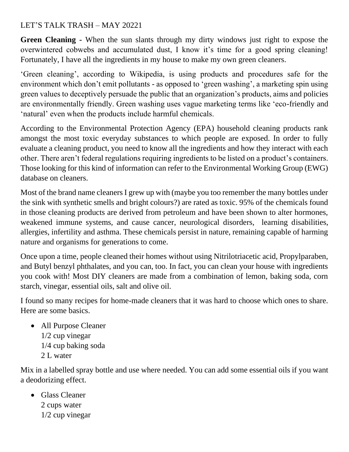## LET'S TALK TRASH – MAY 20221

**Green Cleaning -** When the sun slants through my dirty windows just right to expose the overwintered cobwebs and accumulated dust, I know it's time for a good spring cleaning! Fortunately, I have all the ingredients in my house to make my own green cleaners.

'Green cleaning', according to Wikipedia, is using products and procedures safe for the environment which don't emit pollutants - as opposed to 'green washing', a marketing spin using green values to deceptively persuade the public that an organization's products, aims and policies are environmentally friendly. Green washing uses vague marketing terms like 'eco-friendly and 'natural' even when the products include harmful chemicals.

According to the Environmental Protection Agency (EPA) household cleaning products rank amongst the most toxic everyday substances to which people are exposed. In order to fully evaluate a cleaning product, you need to know all the ingredients and how they interact with each other. There aren't federal regulations requiring ingredients to be listed on a product's containers. Those looking for this kind of information can refer to the Environmental Working Group (EWG) database on cleaners.

Most of the brand name cleaners I grew up with (maybe you too remember the many bottles under the sink with synthetic smells and bright colours?) are rated as toxic. 95% of the chemicals found in those cleaning products are derived from petroleum and have been shown to alter hormones, weakened immune systems, and cause cancer, neurological disorders, learning disabilities, allergies, infertility and asthma. These chemicals persist in nature, remaining capable of harming nature and organisms for generations to come.

Once upon a time, people cleaned their homes without using Nitrilotriacetic acid, Propylparaben, and Butyl benzyl phthalates, and you can, too. In fact, you can clean your house with ingredients you cook with! Most DIY cleaners are made from a combination of lemon, baking soda, corn starch, vinegar, essential oils, salt and olive oil.

I found so many recipes for home-made cleaners that it was hard to choose which ones to share. Here are some basics.

• All Purpose Cleaner 1/2 cup vinegar 1/4 cup baking soda 2 L water

Mix in a labelled spray bottle and use where needed. You can add some essential oils if you want a deodorizing effect.

• Glass Cleaner 2 cups water 1/2 cup vinegar